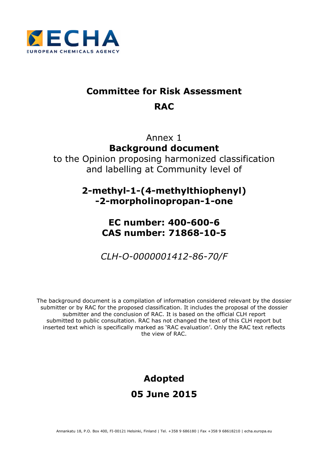

# **Committee for Risk Assessment RAC**

Annex 1 **Background document** to the Opinion proposing harmonized classification and labelling at Community level of

> **2-methyl-1-(4-methylthiophenyl) -2-morpholinopropan-1-one**

# **EC number: 400-600-6 CAS number: 71868-10-5**

*CLH-O-0000001412-86-70/F*

The background document is a compilation of information considered relevant by the dossier submitter or by RAC for the proposed classification. It includes the proposal of the dossier submitter and the conclusion of RAC. It is based on the official CLH report submitted to public consultation. RAC has not changed the text of this CLH report but inserted text which is specifically marked as 'RAC evaluation'. Only the RAC text reflects the view of RAC.

# **Adopted 05 June 2015**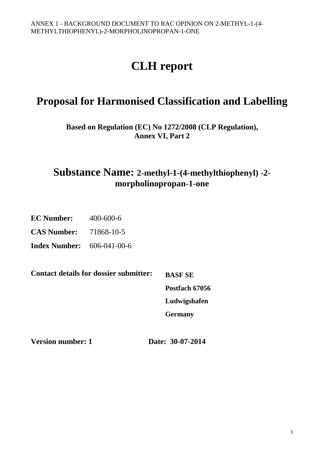# **CLH report**

# **Proposal for Harmonised Classification and Labelling**

**Based on Regulation (EC) No 1272/2008 (CLP Regulation), Annex VI, Part 2** 

**Substance Name: 2-methyl-1-(4-methylthiophenyl) -2 morpholinopropan-1-one**

**EC Number:** 400-600-6

**CAS Number:** 71868-10-5

**Index Number:** 606-041-00-6

**Contact details for dossier submitter:** 

**BASF SE Postfach 67056 Ludwigshafen Germany** 

**Version number: 1 Date: 30-07-2014**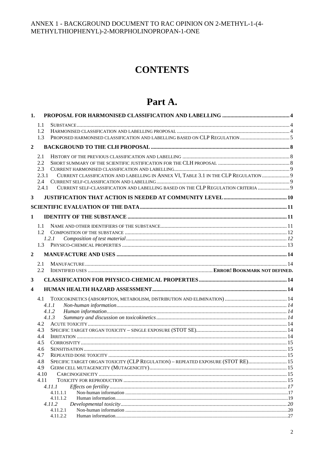# **CONTENTS**

# Part A.

| 1.             |              |                                                                                      |    |
|----------------|--------------|--------------------------------------------------------------------------------------|----|
|                | 1.1          |                                                                                      |    |
|                | 1.2          |                                                                                      |    |
|                | 1.3          |                                                                                      |    |
| $\mathbf{2}$   |              |                                                                                      |    |
|                | 2.1          |                                                                                      |    |
|                | 2.2          |                                                                                      |    |
|                | 2.3          |                                                                                      |    |
|                | 2.3.1        | CURRENT CLASSIFICATION AND LABELLING IN ANNEX VI, TABLE 3.1 IN THE CLP REGULATION  9 |    |
|                | 2.4<br>2.4.1 | CURRENT SELF-CLASSIFICATION AND LABELLING BASED ON THE CLP REGULATION CRITERIA  9    |    |
|                |              |                                                                                      |    |
| 3              |              |                                                                                      |    |
|                |              |                                                                                      |    |
| $\mathbf{1}$   |              |                                                                                      |    |
|                |              |                                                                                      |    |
|                |              |                                                                                      |    |
|                |              | 1.2.1                                                                                |    |
|                | 1.3          |                                                                                      |    |
| $\overline{2}$ |              |                                                                                      |    |
|                | 2.1          |                                                                                      |    |
|                | 2.2          |                                                                                      |    |
| 3              |              |                                                                                      |    |
|                |              |                                                                                      |    |
| 4              |              |                                                                                      |    |
|                | 4.1          |                                                                                      |    |
|                |              | 4.1.1                                                                                |    |
|                |              | 4.1.2<br>4.1.3                                                                       |    |
|                | 4.2          |                                                                                      |    |
|                | 4.3          |                                                                                      |    |
|                | 4.4          |                                                                                      |    |
|                | 4.5          |                                                                                      |    |
|                | 4.6          |                                                                                      |    |
|                | 4.7<br>4.8   | SPECIFIC TARGET ORGAN TOXICITY (CLP REGULATION) - REPEATED EXPOSURE (STOT RE) 15     |    |
|                | 4.9          |                                                                                      |    |
|                | 4.10         |                                                                                      |    |
|                | 4.11         |                                                                                      |    |
|                |              | 4.11.1                                                                               |    |
|                |              | 4.11.1.1<br>4.11.1.2                                                                 |    |
|                |              | 4.11.2                                                                               |    |
|                |              | 4.11.2.1                                                                             |    |
|                |              | 4.11.2.2<br>Human information.                                                       | 27 |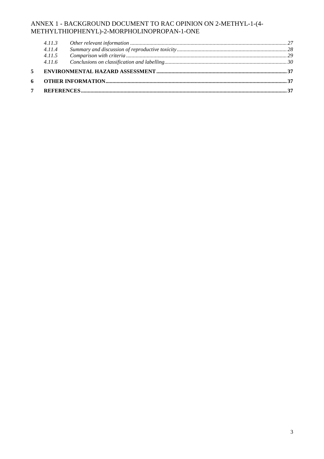| 4.11.3 |  |
|--------|--|
| 4.11.4 |  |
|        |  |
|        |  |
|        |  |
|        |  |
|        |  |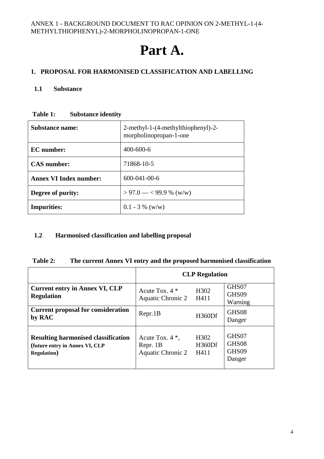# **Part A.**

# **1. PROPOSAL FOR HARMONISED CLASSIFICATION AND LABELLING**

#### **1.1 Substance**

| <b>Substance name:</b>        | 2-methyl-1-(4-methylthiophenyl)-2-<br>morpholinopropan-1-one |  |
|-------------------------------|--------------------------------------------------------------|--|
| EC number:                    | $400 - 600 - 6$                                              |  |
| <b>CAS</b> number:            | 71868-10-5                                                   |  |
| <b>Annex VI Index number:</b> | $600 - 041 - 00 - 6$                                         |  |
| Degree of purity:             | $> 97.0 - < 99.9$ % (w/w)                                    |  |
| <b>Impurities:</b>            | $0.1 - 3 %$ (w/w)                                            |  |

#### **Table 1: Substance identity**

## **1.2 Harmonised classification and labelling proposal**

#### **Table 2: The current Annex VI entry and the proposed harmonised classification**

|                                                                                                     | <b>CLP</b> Regulation                                      |                                     |                                   |
|-----------------------------------------------------------------------------------------------------|------------------------------------------------------------|-------------------------------------|-----------------------------------|
| <b>Current entry in Annex VI, CLP</b><br><b>Regulation</b>                                          | Acute Tox. $4 *$<br><b>Aquatic Chronic 2</b>               | H302<br>H411                        | GHS07<br>GHS09<br>Warning         |
| <b>Current proposal for consideration</b><br>by RAC                                                 | Repr.1B                                                    | H360Df                              | GHS08<br>Danger                   |
| <b>Resulting harmonised classification</b><br>(future entry in Annex VI, CLP<br><b>Regulation</b> ) | Acute Tox. $4^*$ ,<br>Repr. 1B<br><b>Aquatic Chronic 2</b> | H <sub>3</sub> 02<br>H360Df<br>H411 | GHS07<br>GHS08<br>GHS09<br>Danger |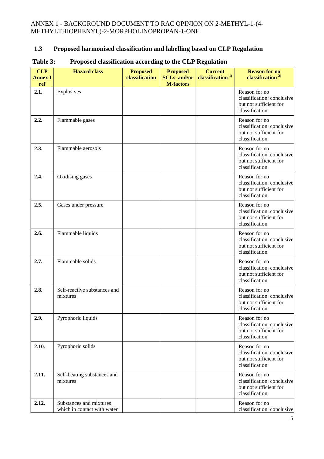# **1.3 Proposed harmonised classification and labelling based on CLP Regulation**

| <b>CLP</b><br><b>Annex I</b><br>ref | <b>Hazard</b> class                                    | <b>Proposed</b><br>classification | <b>Proposed</b><br><b>SCLs</b> and/or<br><b>M-factors</b> | <b>Current</b><br>classification <sup>1)</sup> | <b>Reason for no</b><br>classification <sup>2)</sup>                                    |
|-------------------------------------|--------------------------------------------------------|-----------------------------------|-----------------------------------------------------------|------------------------------------------------|-----------------------------------------------------------------------------------------|
| 2.1.                                | Explosives                                             |                                   |                                                           |                                                | Reason for no<br>classification: conclusive<br>but not sufficient for<br>classification |
| 2.2.                                | Flammable gases                                        |                                   |                                                           |                                                | Reason for no<br>classification: conclusive<br>but not sufficient for<br>classification |
| 2.3.                                | Flammable aerosols                                     |                                   |                                                           |                                                | Reason for no<br>classification: conclusive<br>but not sufficient for<br>classification |
| 2.4.                                | Oxidising gases                                        |                                   |                                                           |                                                | Reason for no<br>classification: conclusive<br>but not sufficient for<br>classification |
| 2.5.                                | Gases under pressure                                   |                                   |                                                           |                                                | Reason for no<br>classification: conclusive<br>but not sufficient for<br>classification |
| 2.6.                                | Flammable liquids                                      |                                   |                                                           |                                                | Reason for no<br>classification: conclusive<br>but not sufficient for<br>classification |
| 2.7.                                | Flammable solids                                       |                                   |                                                           |                                                | Reason for no<br>classification: conclusive<br>but not sufficient for<br>classification |
| 2.8.                                | Self-reactive substances and<br>mixtures               |                                   |                                                           |                                                | Reason for no<br>classification: conclusive<br>but not sufficient for<br>classification |
| 2.9.                                | Pyrophoric liquids                                     |                                   |                                                           |                                                | Reason for no<br>classification: conclusive<br>but not sufficient for<br>classification |
| 2.10.                               | Pyrophoric solids                                      |                                   |                                                           |                                                | Reason for no<br>classification: conclusive<br>but not sufficient for<br>classification |
| 2.11.                               | Self-heating substances and<br>mixtures                |                                   |                                                           |                                                | Reason for no<br>classification: conclusive<br>but not sufficient for<br>classification |
| 2.12.                               | Substances and mixtures<br>which in contact with water |                                   |                                                           |                                                | Reason for no<br>classification: conclusive                                             |

# **Table 3: Proposed classification according to the CLP Regulation**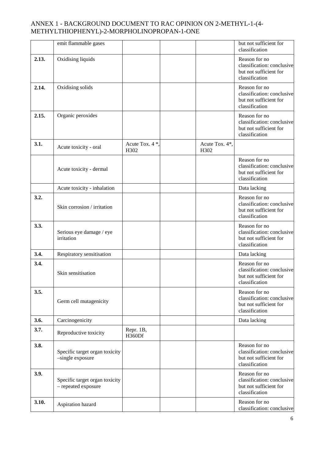|       | emit flammable gases                                  |                         |                        | but not sufficient for<br>classification                                                |
|-------|-------------------------------------------------------|-------------------------|------------------------|-----------------------------------------------------------------------------------------|
| 2.13. | Oxidising liquids                                     |                         |                        | Reason for no<br>classification: conclusive<br>but not sufficient for<br>classification |
| 2.14. | Oxidising solids                                      |                         |                        | Reason for no<br>classification: conclusive<br>but not sufficient for<br>classification |
| 2.15. | Organic peroxides                                     |                         |                        | Reason for no<br>classification: conclusive<br>but not sufficient for<br>classification |
| 3.1.  | Acute toxicity - oral                                 | Acute Tox. 4 *.<br>H302 | Acute Tox. 4*,<br>H302 |                                                                                         |
|       | Acute toxicity - dermal                               |                         |                        | Reason for no<br>classification: conclusive<br>but not sufficient for<br>classification |
|       | Acute toxicity - inhalation                           |                         |                        | Data lacking                                                                            |
| 3.2.  | Skin corrosion / irritation                           |                         |                        | Reason for no<br>classification: conclusive<br>but not sufficient for<br>classification |
| 3.3.  | Serious eye damage / eye<br>irritation                |                         |                        | Reason for no<br>classification: conclusive<br>but not sufficient for<br>classification |
| 3.4.  | Respiratory sensitisation                             |                         |                        | Data lacking                                                                            |
| 3.4.  | Skin sensitisation                                    |                         |                        | Reason for no<br>classification: conclusive<br>but not sufficient for<br>classification |
| 3.5.  | Germ cell mutagenicity                                |                         |                        | Reason for no<br>classification: conclusive<br>but not sufficient for<br>classification |
| 3.6.  | Carcinogenicity                                       |                         |                        | Data lacking                                                                            |
| 3.7.  | Reproductive toxicity                                 | Repr. 1B,<br>H360Df     |                        |                                                                                         |
| 3.8.  | Specific target organ toxicity<br>-single exposure    |                         |                        | Reason for no<br>classification: conclusive<br>but not sufficient for<br>classification |
| 3.9.  | Specific target organ toxicity<br>- repeated exposure |                         |                        | Reason for no<br>classification: conclusive<br>but not sufficient for<br>classification |
| 3.10. | Aspiration hazard                                     |                         |                        | Reason for no<br>classification: conclusive                                             |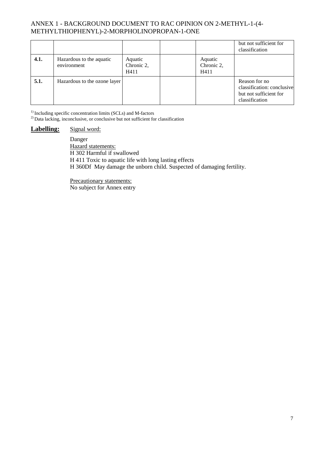|      |                                         |                               |                               | but not sufficient for<br>classification                                                |
|------|-----------------------------------------|-------------------------------|-------------------------------|-----------------------------------------------------------------------------------------|
| 4.1. | Hazardous to the aquatic<br>environment | Aquatic<br>Chronic 2,<br>H411 | Aquatic<br>Chronic 2,<br>H411 |                                                                                         |
| 5.1. | Hazardous to the ozone layer            |                               |                               | Reason for no<br>classification: conclusive<br>but not sufficient for<br>classification |

<sup>1)</sup> Including specific concentration limits (SCLs) and M-factors

<sup>2)</sup> Data lacking, inconclusive, or conclusive but not sufficient for classification

#### Labelling: Signal word:

Danger Hazard statements: H 302 Harmful if swallowed H 411 Toxic to aquatic life with long lasting effects H 360Df May damage the unborn child. Suspected of damaging fertility.

Precautionary statements: No subject for Annex entry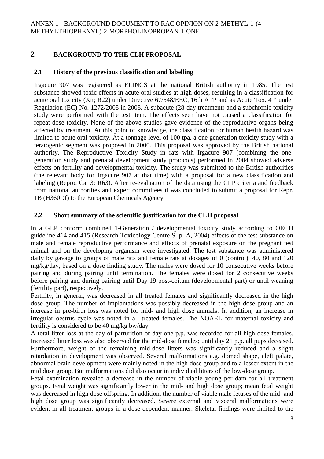# **2 BACKGROUND TO THE CLH PROPOSAL**

# **2.1 History of the previous classification and labelling**

Irgacure 907 was registered as ELINCS at the national British authority in 1985. The test substance showed toxic effects in acute oral studies at high doses, resulting in a classification for acute oral toxicity (Xn; R22) under Directive 67/548/EEC, 16th ATP and as Acute Tox. 4 \* under Regulation (EC) No. 1272/2008 in 2008. A subacute (28-day treatment) and a subchronic toxicity study were performed with the test item. The effects seen have not caused a classification for repeat-dose toxicity. None of the above studies gave evidence of the reproductive organs being affected by treatment. At this point of knowledge, the classification for human health hazard was limited to acute oral toxicity. At a tonnage level of 100 tpa, a one generation toxicity study with a teratogenic segment was proposed in 2000. This proposal was approved by the British national authority. The Reproductive Toxicity Study in rats with Irgacure 907 (combining the onegeneration study and prenatal development study protocols) performed in 2004 showed adverse effects on fertility and developmental toxicity. The study was submitted to the British authorities (the relevant body for Irgacure 907 at that time) with a proposal for a new classification and labeling (Repro. Cat 3; R63). After re-evaluation of the data using the CLP criteria and feedback from national authorities and expert committees it was concluded to submit a proposal for Repr. 1B (H360Df) to the European Chemicals Agency.

# **2.2 Short summary of the scientific justification for the CLH proposal**

In a GLP conform combined 1-Generation / developmental toxicity study according to OECD guideline 414 and 415 (Research Toxicology Centre S. p. A, 2004) effects of the test substance on male and female reproductive performance and effects of prenatal exposure on the pregnant test animal and on the developing organism were investigated. The test substance was administered daily by gavage to groups of male rats and female rats at dosages of 0 (control), 40, 80 and 120 mg/kg/day, based on a dose finding study. The males were dosed for 10 consecutive weeks before pairing and during pairing until termination. The females were dosed for 2 consecutive weeks before pairing and during pairing until Day 19 post-coitum (developmental part) or until weaning (fertility part), respectively.

Fertility, in general, was decreased in all treated females and significantly decreased in the high dose group. The number of implantations was possibly decreased in the high dose group and an increase in pre-birth loss was noted for mid- and high dose animals. In addition, an increase in irregular oestrus cycle was noted in all treated females. The NOAEL for maternal toxicity and fertility is considered to be 40 mg/kg bw/day.

A total litter loss at the day of parturition or day one p.p. was recorded for all high dose females. Increased litter loss was also observed for the mid-dose females; until day 21 p.p. all pups deceased. Furthermore, weight of the remaining mid-dose litters was significantly reduced and a slight retardation in development was observed. Several malformations e.g. domed shape, cleft palate, abnormal brain development were mainly noted in the high dose group and to a lesser extent in the mid dose group. But malformations did also occur in individual litters of the low-dose group.

Fetal examination revealed a decrease in the number of viable young per dam for all treatment groups. Fetal weight was significantly lower in the mid- and high dose group; mean fetal weight was decreased in high dose offspring. In addition, the number of viable male fetuses of the mid- and high dose group was significantly decreased. Severe external and visceral malformations were evident in all treatment groups in a dose dependent manner. Skeletal findings were limited to the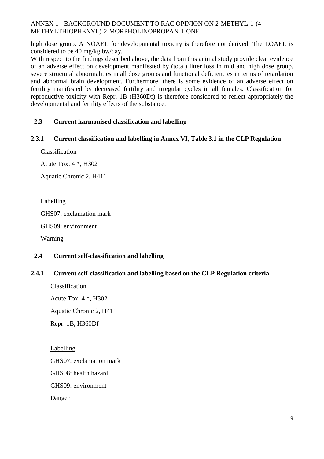high dose group. A NOAEL for developmental toxicity is therefore not derived. The LOAEL is considered to be 40 mg/kg bw/day.

With respect to the findings described above, the data from this animal study provide clear evidence of an adverse effect on development manifested by (total) litter loss in mid and high dose group, severe structural abnormalities in all dose groups and functional deficiencies in terms of retardation and abnormal brain development. Furthermore, there is some evidence of an adverse effect on fertility manifested by decreased fertility and irregular cycles in all females. Classification for reproductive toxicity with Repr. 1B (H360Df) is therefore considered to reflect appropriately the developmental and fertility effects of the substance.

# **2.3 Current harmonised classification and labelling**

## **2.3.1 Current classification and labelling in Annex VI, Table 3.1 in the CLP Regulation**

Classification

Acute Tox. 4 \*, H302

Aquatic Chronic 2, H411

Labelling

GHS07: exclamation mark

GHS09: environment

Warning

## **2.4 Current self-classification and labelling**

## **2.4.1 Current self-classification and labelling based on the CLP Regulation criteria**

Classification Acute Tox. 4 \*, H302

Aquatic Chronic 2, H411

Repr. 1B, H360Df

Labelling GHS07: exclamation mark GHS08: health hazard GHS09: environment Danger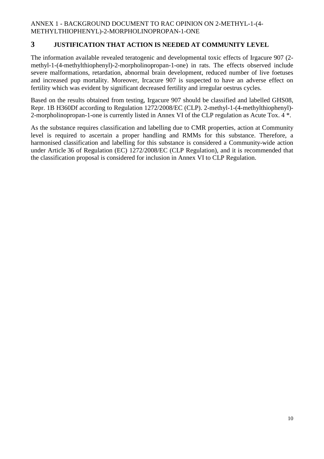# **3 JUSTIFICATION THAT ACTION IS NEEDED AT COMMUNITY LEVEL**

The information available revealed teratogenic and developmental toxic effects of Irgacure 907 (2 methyl-1-(4-methylthiophenyl)-2-morpholinopropan-1-one) in rats. The effects observed include severe malformations, retardation, abnormal brain development, reduced number of live foetuses and increased pup mortality. Moreover, Ircacure 907 is suspected to have an adverse effect on fertility which was evident by significant decreased fertility and irregular oestrus cycles.

Based on the results obtained from testing, Irgacure 907 should be classified and labelled GHS08, Repr. 1B H360Df according to Regulation 1272/2008/EC (CLP). 2-methyl-1-(4-methylthiophenyl)- 2-morpholinopropan-1-one is currently listed in Annex VI of the CLP regulation as Acute Tox. 4 \*.

As the substance requires classification and labelling due to CMR properties, action at Community level is required to ascertain a proper handling and RMMs for this substance. Therefore, a harmonised classification and labelling for this substance is considered a Community-wide action under Article 36 of Regulation (EC) 1272/2008/EC (CLP Regulation), and it is recommended that the classification proposal is considered for inclusion in Annex VI to CLP Regulation.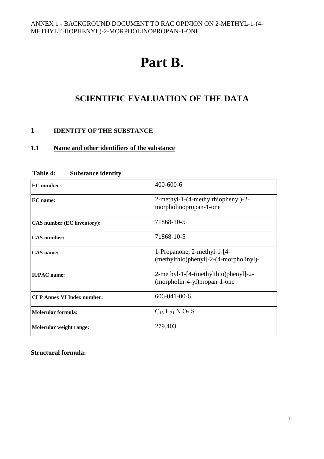# **Part B.**

# **SCIENTIFIC EVALUATION OF THE DATA**

# **1 IDENTITY OF THE SUBSTANCE**

# **1.1 Name and other identifiers of the substance**

| <b>EC</b> number:                 | 400-600-6                                                             |
|-----------------------------------|-----------------------------------------------------------------------|
| EC name:                          | 2-methyl-1-(4-methylthiophenyl)-2-<br>morpholinopropan-1-one          |
| CAS number (EC inventory):        | 71868-10-5                                                            |
| <b>CAS</b> number:                | 71868-10-5                                                            |
| <b>CAS</b> name:                  | 1-Propanone, 2-methyl-1-[4-<br>(methylthio)phenyl]-2-(4-morpholinyl)- |
| <b>IUPAC</b> name:                | 2-methyl-1-[4-(methylthio)phenyl]-2-<br>(morpholin-4-yl)propan-1-one  |
| <b>CLP Annex VI Index number:</b> | 606-041-00-6                                                          |
| Molecular formula:                | $C_{15} H_{21} N O_2 S$                                               |
| Molecular weight range:           | 279.403                                                               |

#### **Table 4: Substance identity**

**Structural formula:**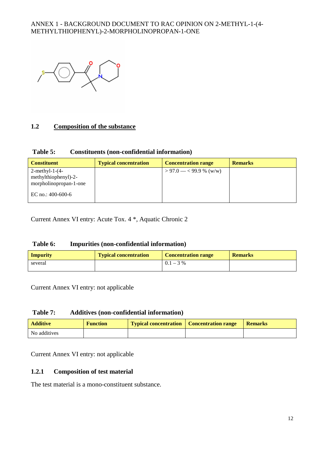

# **1.2 Composition of the substance**

#### **Table 5: Constituents (non-confidential information)**

| <b>Constituent</b>                                                     | <b>Typical concentration</b> | <b>Concentration range</b> | <b>Remarks</b> |
|------------------------------------------------------------------------|------------------------------|----------------------------|----------------|
| $2$ -methyl-1- $(4-$<br>methylthiophenyl)-2-<br>morpholinopropan-1-one |                              | $> 97.0 - < 99.9$ % (w/w)  |                |
| EC no.: $400-600-6$                                                    |                              |                            |                |

Current Annex VI entry: Acute Tox. 4 \*, Aquatic Chronic 2

#### **Table 6: Impurities (non-confidential information)**

| <b>Impurity</b> | <b>Typical concentration</b> | <b>Concentration range</b> | <b>Remarks</b> |
|-----------------|------------------------------|----------------------------|----------------|
| several         |                              | $0.1 - 3\%$                |                |

Current Annex VI entry: not applicable

#### **Table 7: Additives (non-confidential information)**

| <b>Additive</b> | <b>Function</b> | <b>Typical concentration</b> Concentration range | Remarks |
|-----------------|-----------------|--------------------------------------------------|---------|
| No additives    |                 |                                                  |         |

Current Annex VI entry: not applicable

#### **1.2.1 Composition of test material**

The test material is a mono-constituent substance.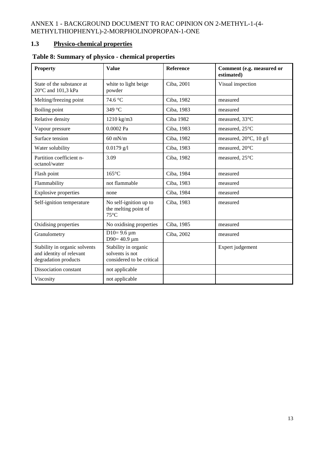# **1.3 Physico-chemical properties**

| <b>Property</b>                                                                   | <b>Value</b>                                                         | <b>Reference</b> | Comment (e.g. measured or<br>estimated) |
|-----------------------------------------------------------------------------------|----------------------------------------------------------------------|------------------|-----------------------------------------|
| State of the substance at<br>20°C and 101,3 kPa                                   | white to light beige<br>powder                                       | Ciba, 2001       | Visual inspection                       |
| Melting/freezing point                                                            | 74.6 °C                                                              | Ciba, 1982       | measured                                |
| Boiling point                                                                     | 349 °C                                                               | Ciba, 1983       | measured                                |
| Relative density                                                                  | 1210 kg/m3                                                           | Ciba 1982        | measured, 33°C                          |
| Vapour pressure                                                                   | 0.0002 Pa                                                            | Ciba, 1983       | measured, 25°C                          |
| Surface tension                                                                   | $60$ mN/m                                                            | Ciba, 1982       | measured, 20°C, 10 g/l                  |
| Water solubility                                                                  | $0.0179$ g/l                                                         | Ciba, 1983       | measured, 20°C                          |
| Partition coefficient n-<br>octanol/water                                         | 3.09                                                                 | Ciba, 1982       | measured, 25°C                          |
| Flash point                                                                       | $165^{\circ}$ C                                                      | Ciba, 1984       | measured                                |
| Flammability                                                                      | not flammable                                                        | Ciba, 1983       | measured                                |
| <b>Explosive properties</b>                                                       | none                                                                 | Ciba, 1984       | measured                                |
| Self-ignition temperature                                                         | No self-ignition up to<br>the melting point of<br>$75^{\circ}$ C     | Ciba, 1983       | measured                                |
| Oxidising properties                                                              | No oxidising properties                                              | Ciba, 1985       | measured                                |
| Granulometry                                                                      | $D10=9.6 \mu m$<br>D90= $40.9 \mu m$                                 | Ciba, 2002       | measured                                |
| Stability in organic solvents<br>and identity of relevant<br>degradation products | Stability in organic<br>solvents is not<br>considered to be critical |                  | Expert judgement                        |
| Dissociation constant                                                             | not applicable                                                       |                  |                                         |
| Viscosity                                                                         | not applicable                                                       |                  |                                         |

# **Table 8: Summary of physico - chemical properties**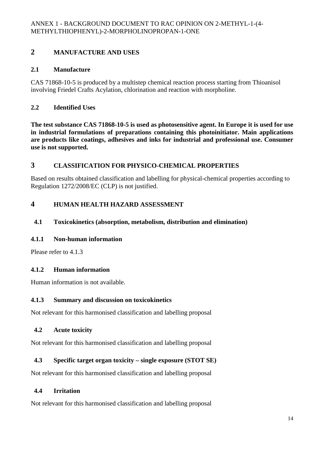# **2 MANUFACTURE AND USES**

# **2.1 Manufacture**

CAS 71868-10-5 is produced by a multistep chemical reaction process starting from Thioanisol involving Friedel Crafts Acylation, chlorination and reaction with morpholine.

# **2.2 Identified Uses**

**The test substance CAS 71868-10-5 is used as photosensitive agent. In Europe it is used for use in industrial formulations of preparations containing this photoinitiator. Main applications are products like coatings, adhesives and inks for industrial and professional use. Consumer use is not supported.** 

# **3 CLASSIFICATION FOR PHYSICO-CHEMICAL PROPERTIES**

Based on results obtained classification and labelling for physical-chemical properties according to Regulation 1272/2008/EC (CLP) is not justified.

# **4 HUMAN HEALTH HAZARD ASSESSMENT**

# **4.1 Toxicokinetics (absorption, metabolism, distribution and elimination)**

## **4.1.1 Non-human information**

Please refer to 4.1.3

# **4.1.2 Human information**

Human information is not available.

# **4.1.3 Summary and discussion on toxicokinetics**

Not relevant for this harmonised classification and labelling proposal

# **4.2 Acute toxicity**

Not relevant for this harmonised classification and labelling proposal

# **4.3 Specific target organ toxicity – single exposure (STOT SE)**

Not relevant for this harmonised classification and labelling proposal

# **4.4 Irritation**

Not relevant for this harmonised classification and labelling proposal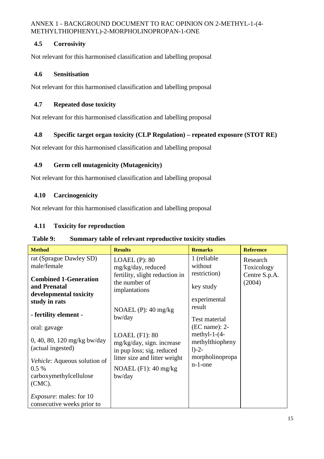# **4.5 Corrosivity**

Not relevant for this harmonised classification and labelling proposal

## **4.6 Sensitisation**

Not relevant for this harmonised classification and labelling proposal

# **4.7 Repeated dose toxicity**

Not relevant for this harmonised classification and labelling proposal

# **4.8 Specific target organ toxicity (CLP Regulation) – repeated exposure (STOT RE)**

Not relevant for this harmonised classification and labelling proposal

## **4.9 Germ cell mutagenicity (Mutagenicity)**

Not relevant for this harmonised classification and labelling proposal

# **4.10 Carcinogenicity**

Not relevant for this harmonised classification and labelling proposal

# **4.11 Toxicity for reproduction**

#### **Table 9: Summary table of relevant reproductive toxicity studies**

| <b>Method</b>                                                                  | <b>Results</b>                                                             | <b>Remarks</b>                                | <b>Reference</b>        |
|--------------------------------------------------------------------------------|----------------------------------------------------------------------------|-----------------------------------------------|-------------------------|
| rat (Sprague Dawley SD)<br>male/female                                         | $LOAEL$ (P): $80$<br>mg/kg/day, reduced                                    | 1 (reliable)<br>without                       | Research<br>Toxicology  |
| <b>Combined 1-Generation</b><br>and Prenatal<br>developmental toxicity         | fertility, slight reduction in<br>the number of<br>implantations           | restriction)<br>key study                     | Centre S.p.A.<br>(2004) |
| study in rats                                                                  |                                                                            | experimental                                  |                         |
| - fertility element -                                                          | NOAEL $(P)$ : 40 mg/kg<br>bw/day                                           | result<br>Test material                       |                         |
| oral: gavage                                                                   |                                                                            | $(EC name): 2-$                               |                         |
| 0, 40, 80, 120 mg/kg bw/day<br>(actual ingested)                               | $LOAEL$ (F1): 80<br>mg/kg/day, sign. increase<br>in pup loss; sig. reduced | methyl-1- $(4-$<br>methylthiopheny<br>$1)-2-$ |                         |
| Vehicle: Aqueous solution of<br>$0.5\%$<br>carboxymethylcellulose<br>$(CMC)$ . | litter size and litter weight<br>NOAEL $(F1)$ : 40 mg/kg<br>bw/day         | morpholinopropa<br>$n-1$ -one                 |                         |
| <i>Exposure:</i> males: for 10<br>consecutive weeks prior to                   |                                                                            |                                               |                         |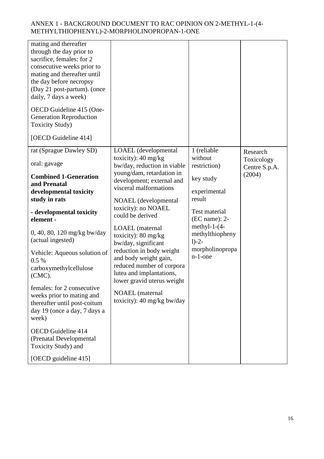| mating and thereafter<br>through the day prior to<br>sacrifice, females: for 2<br>consecutive weeks prior to<br>mating and thereafter until<br>the day before necropsy<br>(Day 21 post-partum). (once<br>daily, 7 days a week)                                                                    |                                                                                                                                                                                                                                                                                                                                                                                   |                                                                                                                                                         |                             |
|---------------------------------------------------------------------------------------------------------------------------------------------------------------------------------------------------------------------------------------------------------------------------------------------------|-----------------------------------------------------------------------------------------------------------------------------------------------------------------------------------------------------------------------------------------------------------------------------------------------------------------------------------------------------------------------------------|---------------------------------------------------------------------------------------------------------------------------------------------------------|-----------------------------|
| OECD Guideline 415 (One-<br><b>Generation Reproduction</b><br><b>Toxicity Study)</b>                                                                                                                                                                                                              |                                                                                                                                                                                                                                                                                                                                                                                   |                                                                                                                                                         |                             |
| [OECD Guideline 414]                                                                                                                                                                                                                                                                              |                                                                                                                                                                                                                                                                                                                                                                                   |                                                                                                                                                         |                             |
| rat (Sprague Dawley SD)                                                                                                                                                                                                                                                                           | LOAEL (developmental<br>toxicity): $40 \text{ mg/kg}$                                                                                                                                                                                                                                                                                                                             | 1 (reliable<br>without                                                                                                                                  | Research                    |
| oral: gavage                                                                                                                                                                                                                                                                                      | bw/day, reduction in viable                                                                                                                                                                                                                                                                                                                                                       | restriction)                                                                                                                                            | Toxicology<br>Centre S.p.A. |
| <b>Combined 1-Generation</b><br>and Prenatal<br>developmental toxicity<br>study in rats<br>- developmental toxicity<br>element -<br>0, 40, 80, 120 mg/kg bw/day<br>(actual ingested)<br>Vehicle: Aqueous solution of<br>0.5%<br>carboxymethylcellulose<br>$(CMC)$ .<br>females: for 2 consecutive | young/dam, retardation in<br>development; external and<br>visceral malformations<br>NOAEL (developmental<br>toxicity): no NOAEL<br>could be derived<br><b>LOAEL</b> (maternal<br>toxicity): $80 \text{ mg/kg}$<br>bw/day, significant<br>reduction in body weight<br>and body weight gain,<br>reduced number of corpora<br>lutea and implantations,<br>lower gravid uterus weight | key study<br>experimental<br>result<br>Test material<br>(EC name): 2-<br>methyl-1- $(4-$<br>methylthiopheny<br>$1)-2-$<br>morpholinopropa<br>$n-1$ -one | (2004)                      |
| weeks prior to mating and<br>thereafter until post-coitum<br>day 19 (once a day, 7 days a<br>week)<br><b>OECD</b> Guideline 414                                                                                                                                                                   | <b>NOAEL</b> (maternal<br>toxicity): 40 mg/kg bw/day                                                                                                                                                                                                                                                                                                                              |                                                                                                                                                         |                             |
| (Prenatal Developmental<br>Toxicity Study) and                                                                                                                                                                                                                                                    |                                                                                                                                                                                                                                                                                                                                                                                   |                                                                                                                                                         |                             |
| [OECD guideline 415]                                                                                                                                                                                                                                                                              |                                                                                                                                                                                                                                                                                                                                                                                   |                                                                                                                                                         |                             |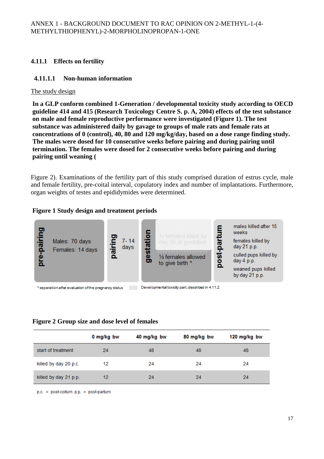# **4.11.1 Effects on fertility**

## **4.11.1.1 Non-human information**

#### The study design

**In a GLP conform combined 1-Generation / developmental toxicity study according to OECD guideline 414 and 415 (Research Toxicology Centre S. p. A, 2004) effects of the test substance on male and female reproductive performance were investigated (Figure 1). The test substance was administered daily by gavage to groups of male rats and female rats at concentrations of 0 (control), 40, 80 and 120 mg/kg/day, based on a dose range finding study. The males were dosed for 10 consecutive weeks before pairing and during pairing until termination. The females were dosed for 2 consecutive weeks before pairing and during pairing until weaning (** 

Figure 2). Examinations of the fertility part of this study comprised duration of estrus cycle, male and female fertility, pre-coital interval, copulatory index and number of implantations. Furthermore, organ weights of testes and epididymides were determined.

## **Figure 1 Study design and treatment periods**



#### **Figure 2 Group size and dose level of females**

|                       | 0 mg/kg bw | 40 mg/kg bw | 80 mg/kg bw | 120 mg/kg bw |
|-----------------------|------------|-------------|-------------|--------------|
| start of treatment    | 24         | 48          | 48          | 48           |
| killed by day 20 p.c. | 12         | 24          | 24          | 24           |
| killed by day 21 p.p. | 12         | 24          | 24          | 24           |

 $p.c. = post-cotium$   $p.p. = post-partum$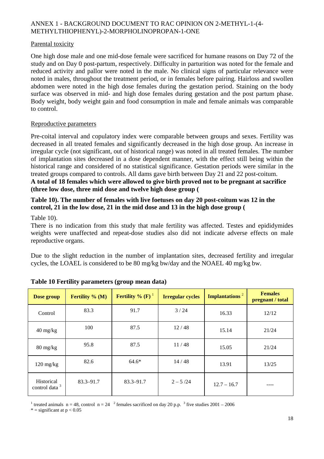#### Parental toxicity

One high dose male and one mid-dose female were sacrificed for humane reasons on Day 72 of the study and on Day 0 post-partum, respectively. Difficulty in parturition was noted for the female and reduced activity and pallor were noted in the male. No clinical signs of particular relevance were noted in males, throughout the treatment period, or in females before pairing. Hairloss and swollen abdomen were noted in the high dose females during the gestation period. Staining on the body surface was observed in mid- and high dose females during gestation and the post partum phase. Body weight, body weight gain and food consumption in male and female animals was comparable to control.

#### Reproductive parameters

Pre-coital interval and copulatory index were comparable between groups and sexes. Fertility was decreased in all treated females and significantly decreased in the high dose group. An increase in irregular cycle (not significant, out of historical range) was noted in all treated females. The number of implantation sites decreased in a dose dependent manner, with the effect still being within the historical range and considered of no statistical significance. Gestation periods were similar in the treated groups compared to controls. All dams gave birth between Day 21 and 22 post-coitum. **A total of 18 females which were allowed to give birth proved not to be pregnant at sacrifice (three low dose, three mid dose and twelve high dose group (** 

# **Table 10). The number of females with live foetuses on day 20 post-coitum was 12 in the control, 21 in the low dose, 21 in the mid dose and 13 in the high dose group (**

Table 10).

There is no indication from this study that male fertility was affected. Testes and epididymides weights were unaffected and repeat-dose studies also did not indicate adverse effects on male reproductive organs.

Due to the slight reduction in the number of implantation sites, decreased fertility and irregular cycles, the LOAEL is considered to be 80 mg/kg bw/day and the NOAEL 40 mg/kg bw.

| Dose group                              | <b>Fertility</b> % $(M)$ | <b>Fertility</b> % $(F)$ <sup>1</sup> | <b>Irregular cycles</b> | <b>Implantations</b> <sup>2</sup> | <b>Females</b><br>pregnant / total |
|-----------------------------------------|--------------------------|---------------------------------------|-------------------------|-----------------------------------|------------------------------------|
| Control                                 | 83.3                     | 91.7                                  | 3/24                    | 16.33                             | 12/12                              |
| $40 \frac{\text{mg}}{\text{kg}}$        | 100                      | 87.5                                  | 12/48                   | 15.14                             | 21/24                              |
| $80 \frac{\text{mg}}{\text{kg}}$        | 95.8                     | 87.5                                  | 11/48                   | 15.05                             | 21/24                              |
| $120 \text{ mg/kg}$                     | 82.6                     | $64.6*$                               | 14/48                   | 13.91                             | 13/25                              |
| Historical<br>control data <sup>3</sup> | $83.3 - 91.7$            | $83.3 - 91.7$                         | $2 - 5/24$              | $12.7 - 16.7$                     |                                    |

#### **Table 10 Fertility parameters (group mean data)**

<sup>1</sup> treated animals  $n = 48$ , control  $n = 24$  <sup>2</sup> females sacrificed on day 20 p.p. <sup>3</sup> five studies 2001 – 2006

 $*$  = significant at  $p < 0.05$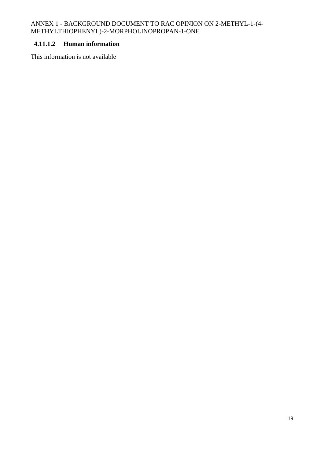## **4.11.1.2 Human information**

This information is not available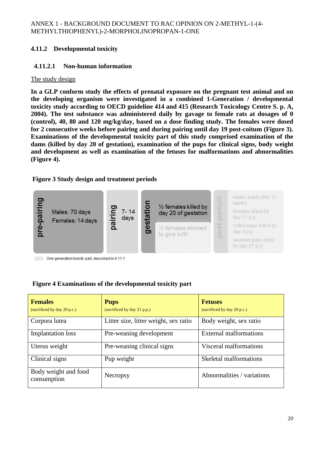# **4.11.2 Developmental toxicity**

# **4.11.2.1 Non-human information**

# The study design

**In a GLP conform study the effects of prenatal exposure on the pregnant test animal and on the developing organism were investigated in a combined 1-Generation / developmental toxicity study according to OECD guideline 414 and 415 (Research Toxicology Centre S. p. A, 2004). The test substance was administered daily by gavage to female rats at dosages of 0 (control), 40, 80 and 120 mg/kg/day, based on a dose finding study. The females were dosed for 2 consecutive weeks before pairing and during pairing until day 19 post-coitum (Figure 3). Examinations of the developmental toxicity part of this study comprised examination of the dams (killed by day 20 of gestation), examination of the pups for clinical signs, body weight and development as well as examination of the fetuses for malformations and abnormalities (Figure 4).** 

# **Figure 3 Study design and treatment periods**



One generation toxicity part, described in 4.11.1

# **Figure 4 Examinations of the developmental toxicity part**

| <b>Females</b><br>(sacrificed by day 20 p.c.) | <b>Pups</b><br>(sacrificed by day 21 p.p.) | <b>Fetuses</b><br>(sacrificed by day 20 p.c.) |
|-----------------------------------------------|--------------------------------------------|-----------------------------------------------|
| Corpora lutea                                 | Litter size, litter weight, sex ratio      | Body weight, sex ratio                        |
| <b>Implantation</b> loss                      | Pre-weaning development                    | <b>External malformations</b>                 |
| Uterus weight                                 | Pre-weaning clinical signs                 | Visceral malformations                        |
| Clinical signs                                | Pup weight                                 | Skeletal malformations                        |
| Body weight and food<br>consumption           | Necropsy                                   | Abnormalities / variations                    |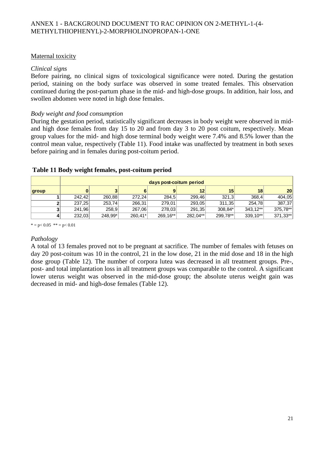# Maternal toxicity

#### *Clinical signs*

Before pairing, no clinical signs of toxicological significance were noted. During the gestation period, staining on the body surface was observed in some treated females. This observation continued during the post-partum phase in the mid- and high-dose groups. In addition, hair loss, and swollen abdomen were noted in high dose females.

#### *Body weight and food consumption*

During the gestation period, statistically significant decreases in body weight were observed in midand high dose females from day 15 to 20 and from day 3 to 20 post coitum, respectively. Mean group values for the mid- and high dose terminal body weight were 7.4% and 8.5% lower than the control mean value, respectively (Table 11). Food intake was unaffected by treatment in both sexes before pairing and in females during post-coitum period.

|       | days post-coitum period |         |           |           |          |          |          |                 |
|-------|-------------------------|---------|-----------|-----------|----------|----------|----------|-----------------|
| group |                         |         | 6         |           | 12       | 15       | 18       | 20 <sub>l</sub> |
|       | 242.42                  | 260,88  | 272.24    | 284,5     | 299,46   | 321,3    | 368,4    | 404,05          |
|       | 237,25                  | 253,74  | 266,31    | 279,01    | 293,05   | 311,35   | 254.78   | 387,37          |
|       | 241,96                  | 258,9   | 267,06    | 278,03    | 291,35   | 308.84*  | 343.12** | 375,78**        |
|       | 232,03                  | 248,99* | $260,41*$ | 269, 16** | 282,04** | 299,78** | 339,10** | 371,33**        |

#### **Table 11 Body weight females, post-coitum period**

 $* = p < 0.05$  \*\* = p< 0.01

## *Pathology*

A total of 13 females proved not to be pregnant at sacrifice. The number of females with fetuses on day 20 post-coitum was 10 in the control, 21 in the low dose, 21 in the mid dose and 18 in the high dose group (Table 12). The number of corpora lutea was decreased in all treatment groups. Pre-, post- and total implantation loss in all treatment groups was comparable to the control. A significant lower uterus weight was observed in the mid-dose group; the absolute uterus weight gain was decreased in mid- and high-dose females (Table 12).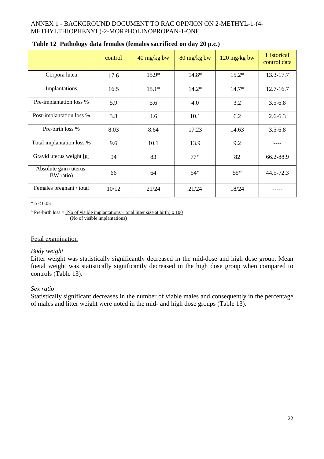|                                     | control | 40 mg/kg bw | 80 mg/kg bw | $120$ mg/kg bw | <b>Historical</b><br>control data |
|-------------------------------------|---------|-------------|-------------|----------------|-----------------------------------|
| Corpora lutea                       | 17.6    | $15.9*$     | $14.8*$     | $15.2*$        | 13.3-17.7                         |
| Implantations                       | 16.5    | $15.1*$     | $14.2*$     | $14.7*$        | 12.7-16.7                         |
| Pre-implantation loss %             | 5.9     | 5.6         | 4.0         | 3.2            | $3.5 - 6.8$                       |
| Post-implantation loss %            | 3.8     | 4.6         | 10.1        | 6.2            | $2.6 - 6.3$                       |
| Pre-birth loss %                    | 8.03    | 8.64        | 17.23       | 14.63          | $3.5 - 6.8$                       |
| Total implantation loss %           | 9.6     | 10.1        | 13.9        | 9.2            |                                   |
| Gravid uterus weight [g]            | 94      | 83          | $77*$       | 82             | 66.2-88.9                         |
| Absolute gain (uterus:<br>BW ratio) | 66      | 64          | $54*$       | $55*$          | 44.5-72.3                         |
| Females pregnant / total            | 10/12   | 21/24       | 21/24       | 18/24          |                                   |

#### $*$  p  $< 0.05$

 $\degree$  Pre-birth loss = (No of visible implantations – total litter size at birth) x 100 (No of visible implantations)

## Fetal examination

#### *Body weight*

Litter weight was statistically significantly decreased in the mid-dose and high dose group. Mean foetal weight was statistically significantly decreased in the high dose group when compared to controls (Table 13).

#### *Sex ratio*

Statistically significant decreases in the number of viable males and consequently in the percentage of males and litter weight were noted in the mid- and high dose groups (Table 13).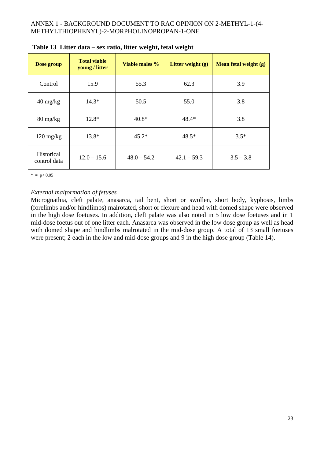| Dose group                       | <b>Total viable</b><br>young / litter | Viable males %     | Litter weight $(g)$ | Mean fetal weight (g) |
|----------------------------------|---------------------------------------|--------------------|---------------------|-----------------------|
| Control                          | 15.9                                  | 55.3               | 62.3                | 3.9                   |
| $40 \frac{\text{mg}}{\text{kg}}$ | $14.3*$                               | 50.5               | 55.0                | 3.8                   |
| $80 \frac{\text{mg}}{\text{kg}}$ | $12.8*$                               | $40.8*$            | $48.4*$             | 3.8                   |
| $120 \text{ mg/kg}$              | $13.8*$                               | $45.2*$<br>$48.5*$ |                     | $3.5*$                |
| Historical<br>control data       | $12.0 - 15.6$                         | $48.0 - 54.2$      | $42.1 - 59.3$       | $3.5 - 3.8$           |

| Table 13 Litter data – sex ratio, litter weight, fetal weight |  |  |
|---------------------------------------------------------------|--|--|
|                                                               |  |  |

 $* = p < 0.05$ 

#### *External malformation of fetuses*

Micrognathia, cleft palate, anasarca, tail bent, short or swollen, short body, kyphosis, limbs (forelimbs and/or hindlimbs) malrotated, short or flexure and head with domed shape were observed in the high dose foetuses. In addition, cleft palate was also noted in 5 low dose foetuses and in 1 mid-dose foetus out of one litter each. Anasarca was observed in the low dose group as well as head with domed shape and hindlimbs malrotated in the mid-dose group. A total of 13 small foetuses were present; 2 each in the low and mid-dose groups and 9 in the high dose group (Table 14).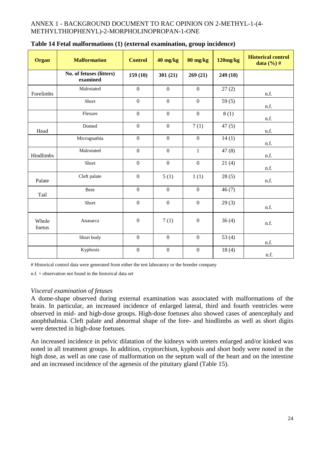| <b>Organ</b>    | <b>Malformation</b>                  | <b>Control</b>   | 40 mg/kg         | 80 mg/kg         | 120mg/kg | <b>Historical control</b><br>data $(\frac{6}{6})$ # |
|-----------------|--------------------------------------|------------------|------------------|------------------|----------|-----------------------------------------------------|
|                 | No. of fetuses (litters)<br>examined | 159(10)          | 301(21)          | 269(21)          | 249 (18) |                                                     |
| Forelimbs       | Malrotated                           | $\boldsymbol{0}$ | $\mathbf{0}$     | $\boldsymbol{0}$ | 27(2)    | n.f.                                                |
|                 | Short                                | $\mathbf{0}$     | $\mathbf{0}$     | $\mathbf{0}$     | 59 $(5)$ | n.f.                                                |
|                 | Flexure                              | $\mathbf{0}$     | $\mathbf{0}$     | $\mathbf{0}$     | 8(1)     | n.f.                                                |
| Head            | Domed                                | $\boldsymbol{0}$ | $\mathbf{0}$     | 7(1)             | 47(5)    | n.f.                                                |
|                 | Micrognathia                         | $\mathbf{0}$     | $\mathbf{0}$     | $\mathbf{0}$     | 14(1)    | n.f.                                                |
| Hindlimbs       | Malrotated                           | $\boldsymbol{0}$ | $\mathbf{0}$     | $\mathbf{1}$     | 47(8)    | n.f.                                                |
|                 | Short                                | $\mathbf{0}$     | $\mathbf{0}$     | $\mathbf{0}$     | 21(4)    | n.f.                                                |
| Palate          | Cleft palate                         | $\boldsymbol{0}$ | 5(1)             | 1(1)             | 28(5)    | n.f.                                                |
| Tail            | Bent                                 | $\mathbf{0}$     | $\mathbf{0}$     | $\mathbf{0}$     | 46(7)    |                                                     |
|                 | Short                                | $\mathbf{0}$     | $\mathbf{0}$     | $\mathbf{0}$     | 29(3)    | n.f.                                                |
| Whole<br>foetus | Anasarca                             | $\mathbf{0}$     | 7(1)             | $\mathbf{0}$     | 36(4)    | n.f.                                                |
|                 | Short body                           | $\mathbf{0}$     | $\mathbf{0}$     | $\mathbf{0}$     | 53 $(4)$ | n.f.                                                |
|                 | Kyphosis                             | $\boldsymbol{0}$ | $\boldsymbol{0}$ | $\boldsymbol{0}$ | 18(4)    | n.f.                                                |

| Table 14 Fetal malformations (1) (external examination, group incidence) |  |  |  |
|--------------------------------------------------------------------------|--|--|--|
|                                                                          |  |  |  |

# Historical control data were generated from either the test laboratory or the breeder company

n.f. = observation not found in the historical data set

## *Visceral examination of fetuses*

A dome-shape observed during external examination was associated with malformations of the brain. In particular, an increased incidence of enlarged lateral, third and fourth ventricles were observed in mid- and high-dose groups. High-dose foetuses also showed cases of anencephaly and anophthalmia. Cleft palate and abnormal shape of the fore- and hindlimbs as well as short digits were detected in high-dose foetuses.

An increased incidence in pelvic dilatation of the kidneys with ureters enlarged and/or kinked was noted in all treatment groups. In addition, cryptorchism, kyphosis and short body were noted in the high dose, as well as one case of malformation on the septum wall of the heart and on the intestine and an increased incidence of the agenesis of the pituitary gland (Table 15).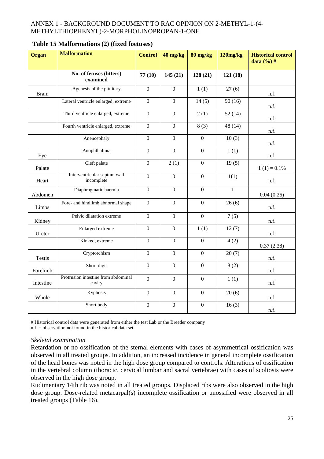| <b>Organ</b>  | <b>Malformation</b>                           | <b>Control</b>   | 40 mg/kg         | $80$ mg/kg       | 120mg/kg     | <b>Historical control</b><br>data $(\%$ ) # |
|---------------|-----------------------------------------------|------------------|------------------|------------------|--------------|---------------------------------------------|
|               | No. of fetuses (litters)<br>examined          | 77(10)           | 145(21)          | 128(21)          | 121(18)      |                                             |
| <b>Brain</b>  | Agenesis of the pituitary                     | $\mathbf{0}$     | $\overline{0}$   | 1(1)             | 27(6)        | n.f.                                        |
|               | Lateral ventricle enlarged, extreme           | $\mathbf{0}$     | $\overline{0}$   | 14(5)            | 90(16)       | n.f.                                        |
|               | Third ventricle enlarged, extreme             | $\overline{0}$   | $\overline{0}$   | 2(1)             | 52(14)       | n.f.                                        |
|               | Fourth ventricle enlarged, extreme            | $\mathbf{0}$     | $\mathbf{0}$     | 8(3)             | 48 (14)      | n.f.                                        |
|               | Anencephaly                                   | $\overline{0}$   | $\mathbf{0}$     | $\overline{0}$   | 10(3)        | n.f.                                        |
| Eye           | Anophthalmia                                  | $\mathbf{0}$     | $\mathbf{0}$     | $\Omega$         | 1(1)         | n.f.                                        |
| Palate        | Cleft palate                                  | $\overline{0}$   | 2(1)             | $\overline{0}$   | 19(5)        | $1(1) = 0.1\%$                              |
| Heart         | Interventricular septum wall<br>incomplete    | $\mathbf{0}$     | $\boldsymbol{0}$ | $\mathbf{0}$     | 1(1)         | n.f.                                        |
| Abdomen       | Diaphragmatic haernia                         | $\overline{0}$   | $\mathbf{0}$     | $\overline{0}$   | $\mathbf{1}$ | 0.04(0.26)                                  |
| Limbs         | Fore- and hindlimb abnormal shape             | $\mathbf{0}$     | $\mathbf{0}$     | $\overline{0}$   | 26(6)        | n.f.                                        |
| Kidney        | Pelvic dilatation extreme                     | $\mathbf{0}$     | $\mathbf{0}$     | $\overline{0}$   | 7(5)         | n.f.                                        |
| Ureter        | Enlarged extreme                              | $\overline{0}$   | $\mathbf{0}$     | 1(1)             | 12(7)        | n.f.                                        |
|               | Kinked, extreme                               | $\boldsymbol{0}$ | $\mathbf{0}$     | $\overline{0}$   | 4(2)         | 0.37(2.38)                                  |
| <b>Testis</b> | Cryptorchism                                  | $\overline{0}$   | $\mathbf{0}$     | $\overline{0}$   | 20(7)        | n.f.                                        |
| Forelimb      | Short digit                                   | $\overline{0}$   | $\boldsymbol{0}$ | $\boldsymbol{0}$ | 8(2)         | n.f.                                        |
| Intestine     | Protrusion intestine from abdominal<br>cavity | $\mathbf{0}$     | $\mathbf{0}$     | $\overline{0}$   | 1(1)         | n.f.                                        |
| Whole         | Kyphosis                                      | $\overline{0}$   | $\mathbf{0}$     | $\overline{0}$   | 20(6)        | n.f.                                        |
|               | Short body                                    | $\boldsymbol{0}$ | $\boldsymbol{0}$ | $\boldsymbol{0}$ | 16(3)        | n.f.                                        |

#### **Table 15 Malformations (2) (fixed foetuses)**

# Historical control data were generated from either the test Lab or the Breeder company

 $n.f. = observation not found in the historical data set$ 

#### *Skeletal examination*

Retardation or no ossification of the sternal elements with cases of asymmetrical ossification was observed in all treated groups. In addition, an increased incidence in general incomplete ossification of the head bones was noted in the high dose group compared to controls. Alterations of ossification in the vertebral column (thoracic, cervical lumbar and sacral vertebrae) with cases of scoliosis were observed in the high dose group.

Rudimentary 14th rib was noted in all treated groups. Displaced ribs were also observed in the high dose group. Dose-related metacarpal(s) incomplete ossification or unossified were observed in all treated groups (Table 16).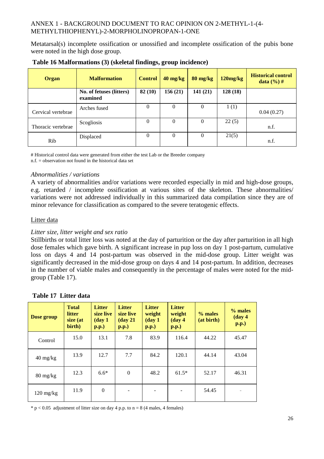Metatarsal(s) incomplete ossification or unossified and incomplete ossification of the pubis bone were noted in the high dose group.

| Organ              | <b>Malformation</b>                  | <b>Control</b> | $40 \text{ mg/kg}$ | $80 \text{ mg/kg}$ | $120$ mg/ $kg$ | <b>Historical control</b><br><b>data</b> $(\% )$ # |
|--------------------|--------------------------------------|----------------|--------------------|--------------------|----------------|----------------------------------------------------|
|                    | No. of fetuses (litters)<br>examined | 82(10)         | 156(21)            | 141(21)            | 128(18)        |                                                    |
| Cervical vertebrae | Arches fused                         | 0              | $\mathbf{0}$       | 0                  | 1(1)           | 0.04(0.27)                                         |
| Thoracic vertebrae | Scogliosis                           | 0              | $\mathbf{0}$       | $\mathbf{0}$       | 22(5)          | n.f.                                               |
| Rib                | Displaced                            | $\theta$       | $\mathbf{0}$       | $\mathbf{0}$       | 21(5)          | n.f.                                               |

| Table 16 Malformations (3) (skeletal findings, group incidence) |  |  |  |
|-----------------------------------------------------------------|--|--|--|
|-----------------------------------------------------------------|--|--|--|

# Historical control data were generated from either the test Lab or the Breeder company

n.f. = observation not found in the historical data set

#### *Abnormalities / variations*

A variety of abnormalities and/or variations were recorded especially in mid and high-dose groups, e.g. retarded / incomplete ossification at various sites of the skeleton. These abnormalities/ variations were not addressed individually in this summarized data compilation since they are of minor relevance for classification as compared to the severe teratogenic effects.

#### Litter data

## *Litter size, litter weight and sex ratio*

Stillbirths or total litter loss was noted at the day of parturition or the day after parturition in all high dose females which gave birth. A significant increase in pup loss on day 1 post-partum, cumulative loss on days 4 and 14 post-partum was observed in the mid-dose group. Litter weight was significantly decreased in the mid-dose group on days 4 and 14 post-partum. In addition, decreases in the number of viable males and consequently in the percentage of males were noted for the midgroup (Table 17).

| Table 17 Litter data |  |  |
|----------------------|--|--|
|----------------------|--|--|

| Dose group                       | <b>Total</b><br>litter<br>size (at<br>birth) | <b>Litter</b><br>size live<br>$(\bf{day} 1)$<br>$\mathbf{p}.\mathbf{p}$ .) | <b>Litter</b><br>size live<br>$(\text{day } 21)$<br>$\mathbf{p}.\mathbf{p}$ .) | <b>Litter</b><br>weight<br>$(\bf{day} 1)$<br>$\mathbf{p}.\mathbf{p}$ .) | <b>Litter</b><br>weight<br>$(\mathbf{day}\,4)$<br>$\mathbf{p}.\mathbf{p}$ .) | $%$ males<br>(at birth) | $%$ males<br>$(\text{day } 4)$<br>$\mathbf{p}.\mathbf{p}$ .) |
|----------------------------------|----------------------------------------------|----------------------------------------------------------------------------|--------------------------------------------------------------------------------|-------------------------------------------------------------------------|------------------------------------------------------------------------------|-------------------------|--------------------------------------------------------------|
| Control                          | 15.0                                         | 13.1                                                                       | 7.8                                                                            | 83.9                                                                    | 116.4                                                                        | 44.22                   | 45.47                                                        |
| $40 \frac{\text{mg}}{\text{kg}}$ | 13.9                                         | 12.7                                                                       | 7.7                                                                            | 84.2                                                                    | 120.1                                                                        | 44.14                   | 43.04                                                        |
| $80 \frac{\text{mg}}{\text{kg}}$ | 12.3                                         | $6.6*$                                                                     | $\mathbf{0}$                                                                   | 48.2                                                                    | $61.5*$                                                                      | 52.17                   | 46.31                                                        |
| $120 \text{ mg/kg}$              | 11.9                                         | $\mathbf{0}$                                                               | $\qquad \qquad \blacksquare$                                                   |                                                                         |                                                                              | 54.45                   | $\overline{\phantom{a}}$                                     |

 $* p < 0.05$  adjustment of litter size on day 4 p.p. to n = 8 (4 males, 4 females)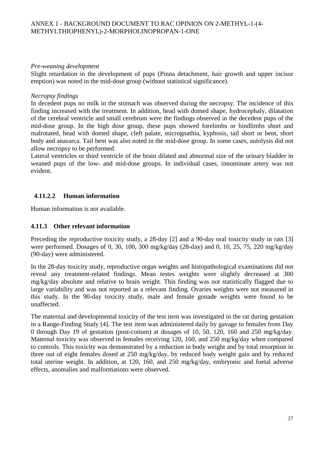#### *Pre-weaning development*

Slight retardation in the development of pups (Pinna detachment, hair growth and upper incisor emption) was noted in the mid-dose group (without statistical significance).

#### *Necropsy findings*

In decedent pups no milk in the stomach was observed during the necropsy. The incidence of this finding increased with the treatment. In addition, head with domed shape, hydrocephaly, dilatation of the cerebral ventricle and small cerebrum were the findings observed in the decedent pups of the mid-dose group. In the high dose group, these pups showed forelimbs or hindlimbs short and malrotated, head with domed shape, cleft palate, micrognathia, kyphosis, tail short or bent, short body and anasarca. Tail bent was also noted in the mid-dose group. In some cases, autolysis did not allow necropsy to be performed.

Lateral ventricles or third ventricle of the brain dilated and abnormal size of the urinary bladder in weaned pups of the low- and mid-dose groups. In individual cases, innominate artery was not evident.

# **4.11.2.2 Human information**

Human information is not available.

## **4.11.3 Other relevant information**

Preceding the reproductive toxicity study, a 28-day [2] and a 90-day oral toxicity study in rats [3] were performed. Dosages of 0, 30, 100, 300 mg/kg/day (28-day) and 0, 10, 25, 75, 220 mg/kg/day (90-day) were administered.

In the 28-day toxicity study, reproductive organ weights and histopathological examinations did not reveal any treatment-related findings. Mean testes weights were slightly decreased at 300 mg/kg/day absolute and relative to brain weight. This finding was not statistically flagged due to large variability and was not reported as a relevant finding. Ovaries weights were not measured in this study. In the 90-day toxicity study, male and female gonade weights were found to be unaffected.

The maternal and developmental toxicity of the test item was investigated in the rat during gestation in a Range-Finding Study [4]. The test item was administered daily by gavage to females from Day 0 through Day 19 of gestation (post-coitum) at dosages of 10, 50, 120, 160 and 250 mg/kg/day. Maternal toxicity was observed in females receiving 120, 160, and 250 mg/kg/day when compared to controls. This toxicity was demonstrated by a reduction in body weight and by total resorption in three out of eight females dosed at 250 mg/kg/day, by reduced body weight gain and by reduced total uterine weight. In addition, at 120, 160, and 250 mg/kg/day, embryonic and foetal adverse effects, anomalies and malformations were observed.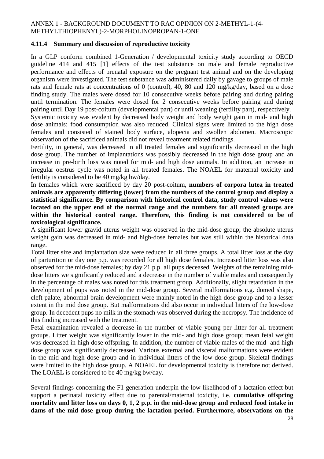#### **4.11.4 Summary and discussion of reproductive toxicity**

In a GLP conform combined 1-Generation / developmental toxicity study according to OECD guideline 414 and 415 [1] effects of the test substance on male and female reproductive performance and effects of prenatal exposure on the pregnant test animal and on the developing organism were investigated. The test substance was administered daily by gavage to groups of male rats and female rats at concentrations of 0 (control), 40, 80 and 120 mg/kg/day, based on a dose finding study. The males were dosed for 10 consecutive weeks before pairing and during pairing until termination. The females were dosed for 2 consecutive weeks before pairing and during pairing until Day 19 post-coitum (developmental part) or until weaning (fertility part), respectively.

Systemic toxicity was evident by decreased body weight and body weight gain in mid- and high dose animals; food consumption was also reduced. Clinical signs were limited to the high dose females and consisted of stained body surface, alopecia and swollen abdomen. Macroscopic observation of the sacrificed animals did not reveal treatment related findings.

Fertility, in general, was decreased in all treated females and significantly decreased in the high dose group. The number of implantations was possibly decreased in the high dose group and an increase in pre-birth loss was noted for mid- and high dose animals. In addition, an increase in irregular oestrus cycle was noted in all treated females. The NOAEL for maternal toxicity and fertility is considered to be 40 mg/kg bw/day.

In females which were sacrificed by day 20 post-coitum, **numbers of corpora lutea in treated animals are apparently differing (lower) from the numbers of the control group and display a statistical significance. By comparison with historical control data, study control values were located on the upper end of the normal range and the numbers for all treated groups are within the historical control range. Therefore, this finding is not considered to be of toxicological significance.** 

A significant lower gravid uterus weight was observed in the mid-dose group; the absolute uterus weight gain was decreased in mid- and high-dose females but was still within the historical data range.

Total litter size and implantation size were reduced in all three groups. A total litter loss at the day of parturition or day one p.p. was recorded for all high dose females. Increased litter loss was also observed for the mid-dose females; by day 21 p.p. all pups deceased. Weights of the remaining middose litters we significantly reduced and a decrease in the number of viable males and consequently in the percentage of males was noted for this treatment group. Additionally, slight retardation in the development of pups was noted in the mid-dose group. Several malformations e.g. domed shape, cleft palate, abnormal brain development were mainly noted in the high dose group and to a lesser extent in the mid dose group. But malformations did also occur in individual litters of the low-dose group. In decedent pups no milk in the stomach was observed during the necropsy. The incidence of this finding increased with the treatment.

Fetal examination revealed a decrease in the number of viable young per litter for all treatment groups. Litter weight was significantly lower in the mid- and high dose group; mean fetal weight was decreased in high dose offspring. In addition, the number of viable males of the mid- and high dose group was significantly decreased. Various external and visceral malformations were evident in the mid and high dose group and in individual litters of the low dose group. Skeletal findings were limited to the high dose group. A NOAEL for developmental toxicity is therefore not derived. The LOAEL is considered to be 40 mg/kg bw/day.

Several findings concerning the F1 generation underpin the low likelihood of a lactation effect but support a perinatal toxicity effect due to parental/maternal toxicity, i.e. **cumulative offspring mortality and litter loss on days 0, 1, 2 p.p. in the mid-dose group and reduced food intake in dams of the mid-dose group during the lactation period. Furthermore, observations on the**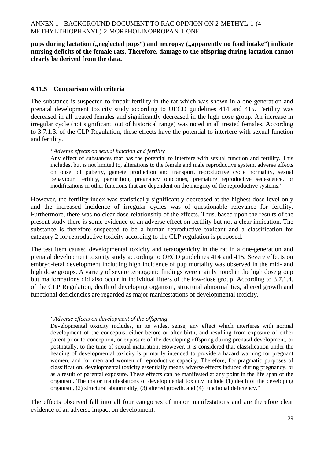pups during lactation ("neglected pups") and necropsy ("apparently no food intake") indicate **nursing deficits of the female rats. Therefore, damage to the offspring during lactation cannot clearly be derived from the data.** 

## **4.11.5 Comparison with criteria**

The substance is suspected to impair fertility in the rat which was shown in a one-generation and prenatal development toxicity study according to OECD guidelines 414 and 415. Fertility was decreased in all treated females and significantly decreased in the high dose group. An increase in irregular cycle (not significant, out of historical range) was noted in all treated females. According to 3.7.1.3. of the CLP Regulation, these effects have the potential to interfere with sexual function and fertility.

#### *"Adverse effects on sexual function and fertility*

Any effect of substances that has the potential to interfere with sexual function and fertility. This includes, but is not limited to, alterations to the female and male reproductive system, adverse effects on onset of puberty, gamete production and transport, reproductive cycle normality, sexual behaviour, fertility, parturition, pregnancy outcomes, premature reproductive senescence, or modifications in other functions that are dependent on the integrity of the reproductive systems."

However, the fertility index was statistically significantly decreased at the highest dose level only and the increased incidence of irregular cycles was of questionable relevance for fertility. Furthermore, there was no clear dose-relationship of the effects. Thus, based upon the results of the present study there is some evidence of an adverse effect on fertility but not a clear indication. The substance is therefore suspected to be a human reproductive toxicant and a classification for category 2 for reproductive toxicity according to the CLP regulation is proposed.

The test item caused developmental toxicity and teratogenicity in the rat in a one-generation and prenatal development toxicity study according to OECD guidelines 414 and 415. Severe effects on embryo-fetal development including high incidence of pup mortality was observed in the mid- and high dose groups. A variety of severe teratogenic findings were mainly noted in the high dose group but malformations did also occur in individual litters of the low-dose group. According to 3.7.1.4. of the CLP Regulation, death of developing organism, structural abnormalities, altered growth and functional deficiencies are regarded as major manifestations of developmental toxicity.

#### *"Adverse effects on development of the offspring*

Developmental toxicity includes, in its widest sense, any effect which interferes with normal development of the conceptus, either before or after birth, and resulting from exposure of either parent prior to conception, or exposure of the developing offspring during prenatal development, or postnatally, to the time of sexual maturation. However, it is considered that classification under the heading of developmental toxicity is primarily intended to provide a hazard warning for pregnant women, and for men and women of reproductive capacity. Therefore, for pragmatic purposes of classification, developmental toxicity essentially means adverse effects induced during pregnancy, or as a result of parental exposure. These effects can be manifested at any point in the life span of the organism. The major manifestations of developmental toxicity include (1) death of the developing organism, (2) structural abnormality, (3) altered growth, and (4) functional deficiency."

The effects observed fall into all four categories of major manifestations and are therefore clear evidence of an adverse impact on development.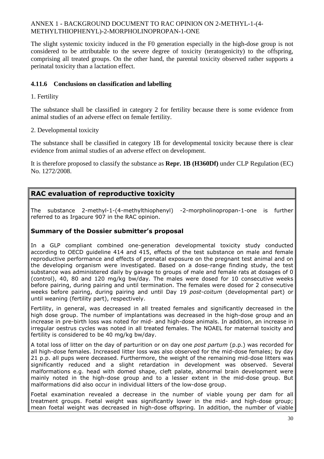The slight systemic toxicity induced in the F0 generation especially in the high-dose group is not considered to be attributable to the severe degree of toxicity (teratogenicity) to the offspring, comprising all treated groups. On the other hand, the parental toxicity observed rather supports a perinatal toxicity than a lactation effect.

## **4.11.6 Conclusions on classification and labelling**

## 1. Fertility

The substance shall be classified in category 2 for fertility because there is some evidence from animal studies of an adverse effect on female fertility.

## 2. Developmental toxicity

The substance shall be classified in category 1B for developmental toxicity because there is clear evidence from animal studies of an adverse effect on development.

It is therefore proposed to classify the substance as **Repr. 1B (H360Df)** under CLP Regulation (EC) No. 1272/2008.

# **RAC evaluation of reproductive toxicity**

The substance 2-methyl-1-(4-methylthiophenyl) -2-morpholinopropan-1-one is further referred to as Irgacure 907 in the RAC opinion.

# **Summary of the Dossier submitter's proposal**

In a GLP compliant combined one-generation developmental toxicity study conducted according to OECD guideline 414 and 415, effects of the test substance on male and female reproductive performance and effects of prenatal exposure on the pregnant test animal and on the developing organism were investigated. Based on a dose-range finding study, the test substance was administered daily by gavage to groups of male and female rats at dosages of 0 (control), 40, 80 and 120 mg/kg bw/day. The males were dosed for 10 consecutive weeks before pairing, during pairing and until termination. The females were dosed for 2 consecutive weeks before pairing, during pairing and until Day 19 *post-coitum* (developmental part) or until weaning (fertility part), respectively.

Fertility, in general, was decreased in all treated females and significantly decreased in the high dose group. The number of implantations was decreased in the high-dose group and an increase in pre-birth loss was noted for mid- and high-dose animals. In addition, an increase in irregular oestrus cycles was noted in all treated females. The NOAEL for maternal toxicity and fertility is considered to be 40 mg/kg bw/day.

A total loss of litter on the day of parturition or on day one *post partum* (p.p.) was recorded for all high-dose females. Increased litter loss was also observed for the mid-dose females; by day 21 p.p. all pups were deceased. Furthermore, the weight of the remaining mid-dose litters was significantly reduced and a slight retardation in development was observed. Several malformations e.g. head with domed shape, cleft palate, abnormal brain development were mainly noted in the high-dose group and to a lesser extent in the mid-dose group. But malformations did also occur in individual litters of the low-dose group.

Foetal examination revealed a decrease in the number of viable young per dam for all treatment groups. Foetal weight was significantly lower in the mid- and high-dose group; mean foetal weight was decreased in high-dose offspring. In addition, the number of viable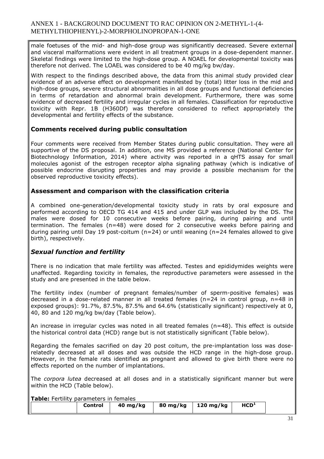male foetuses of the mid- and high-dose group was significantly decreased. Severe external and visceral malformations were evident in all treatment groups in a dose-dependent manner. Skeletal findings were limited to the high-dose group. A NOAEL for developmental toxicity was therefore not derived. The LOAEL was considered to be 40 mg/kg bw/day.

With respect to the findings described above, the data from this animal study provided clear evidence of an adverse effect on development manifested by (total) litter loss in the mid and high-dose groups, severe structural abnormalities in all dose groups and functional deficiencies in terms of retardation and abnormal brain development. Furthermore, there was some evidence of decreased fertility and irregular cycles in all females. Classification for reproductive toxicity with Repr. 1B (H360Df) was therefore considered to reflect appropriately the developmental and fertility effects of the substance.

#### **Comments received during public consultation**

Four comments were received from Member States during public consultation. They were all supportive of the DS proposal. In addition, one MS provided a reference (National Center for Biotechnology Information, 2014) where activity was reported in a qHTS assay for small molecules agonist of the estrogen receptor alpha signaling pathway (which is indicative of possible endocrine disrupting properties and may provide a possible mechanism for the observed reproductive toxicity effects).

#### **Assessment and comparison with the classification criteria**

A combined one-generation/developmental toxicity study in rats by oral exposure and performed according to OECD TG 414 and 415 and under GLP was included by the DS. The males were dosed for 10 consecutive weeks before pairing, during pairing and until termination. The females (n=48) were dosed for 2 consecutive weeks before pairing and during pairing until Day 19 post-coitum ( $n=24$ ) or until weaning ( $n=24$  females allowed to give birth), respectively.

## *Sexual function and fertility*

There is no indication that male fertility was affected. Testes and epididymides weights were unaffected. Regarding toxicity in females, the reproductive parameters were assessed in the study and are presented in the table below.

The fertility index (number of pregnant females/number of sperm-positive females) was decreased in a dose-related manner in all treated females (n=24 in control group, n=48 in exposed groups): 91.7%, 87.5%, 87.5% and 64.6% (statistically significant) respectively at 0, 40, 80 and 120 mg/kg bw/day (Table below).

An increase in irregular cycles was noted in all treated females ( $n=48$ ). This effect is outside the historical control data (HCD) range but is not statistically significant (Table below).

Regarding the females sacrified on day 20 post coitum, the pre-implantation loss was doserelatedly decreased at all doses and was outside the HCD range in the high-dose group. However, in the female rats identified as pregnant and allowed to give birth there were no effects reported on the number of implantations.

The *corpora lutea* decreased at all doses and in a statistically significant manner but were within the HCD (Table below).

**Table:** Fertility parameters in females

| $40$ mg/kg<br>Control |
|-----------------------|
|-----------------------|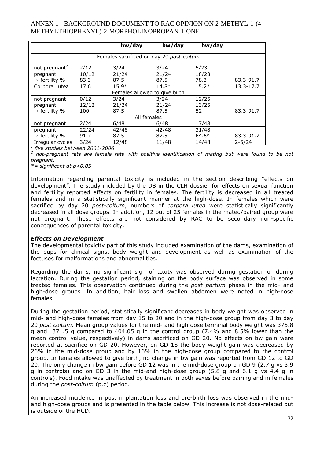|                                          |       | bw/day                        | bw/day  | bw/day  |            |  |  |  |  |
|------------------------------------------|-------|-------------------------------|---------|---------|------------|--|--|--|--|
| Females sacrificed on day 20 post-coitum |       |                               |         |         |            |  |  |  |  |
| not pregnant <sup>2</sup>                | 2/12  | 3/24                          | 3/24    | 5/23    |            |  |  |  |  |
| pregnant                                 | 10/12 | 21/24                         | 21/24   | 18/23   |            |  |  |  |  |
| $\rightarrow$ fertility %                | 83.3  | 87.5                          | 87.5    | 78.3    | 83.3-91.7  |  |  |  |  |
| Corpora Lutea                            | 17.6  | $15.9*$                       | $14.8*$ | $15.2*$ | 13.3-17.7  |  |  |  |  |
|                                          |       | Females allowed to give birth |         |         |            |  |  |  |  |
| not pregnant                             | 0/12  | 3/24                          | 3/24    | 12/25   |            |  |  |  |  |
| pregnant                                 | 12/12 | 21/24                         | 21/24   | 13/25   |            |  |  |  |  |
| $\rightarrow$ fertility %                | 100   | 87.5                          | 87.5    | 52      | 83.3-91.7  |  |  |  |  |
|                                          |       | All females                   |         |         |            |  |  |  |  |
| not pregnant                             | 2/24  | 6/48                          | 6/48    | 17/48   |            |  |  |  |  |
| pregnant                                 | 22/24 | 42/48                         | 42/48   | 31/48   |            |  |  |  |  |
| $\rightarrow$ fertility %                | 91.7  | 87.5                          | 87.5    | $64.6*$ | 83.3-91.7  |  |  |  |  |
| Irregular cycles                         | 3/24  | 12/48                         | 11/48   | 14/48   | $2 - 5/24$ |  |  |  |  |

*1 five studies between 2001-2006* 

*2 not-pregnant rats are female rats with positive identification of mating but were found to be not pregnant.* 

*\*= significant at p<0.05* 

Information regarding parental toxicity is included in the section describing "effects on development". The study included by the DS in the CLH dossier for effects on sexual function and fertility reported effects on fertility in females. The fertility is decreased in all treated females and in a statistically significant manner at the high-dose. In females which were sacrified by day 20 *post-coitum*, numbers of *corpora lutea* were statistically significantly decreased in all dose groups. In addition, 12 out of 25 females in the mated/paired group were not pregnant. These effects are not considered by RAC to be secondary non-specific concequences of parental toxicity.

#### *Effects on Development*

The developmental toxicity part of this study included examination of the dams, examination of the pups for clinical signs, body weight and development as well as examination of the foetuses for malformations and abnormalities.

Regarding the dams, no significant sign of toxity was observed during gestation or during lactation. During the gestation period, staining on the body surface was observed in some treated females. This observation continued during the *post partum* phase in the mid- and high-dose groups. In addition, hair loss and swollen abdomen were noted in high-dose females.

During the gestation period, statistically significant decreases in body weight was observed in mid- and high-dose females from day 15 to 20 and in the high-dose group from day 3 to day 20 *post coitum*. Mean group values for the mid- and high dose terminal body weight was 375.8 g and 371.5 g compared to 404.05 g in the control group (7.4% and 8.5% lower than the mean control value, respectively) in dams sacrificed on GD 20. No effects on bw gain were reported at sacrifice on GD 20. However, on GD 18 the body weight gain was decreased by 26% in the mid-dose group and by 16% in the high-dose group compared to the control group. In females allowed to give birth, no change in bw gain was reported from GD 12 to GD 20. The only change in bw gain before GD 12 was in the mid-dose group on GD 9 (2.7 g vs 3.9 g in controls) and on GD 3 in the mid-and high-dose group (5.8 g and 6.1 g vs 4.4 g in controls). Food intake was unaffected by treatment in both sexes before pairing and in females during the *post-coitum* (p.c) period.

An increased incidence in post implantation loss and pre-birth loss was observed in the midand high-dose groups and is presented in the table below. This increase is not dose-related but is outside of the HCD.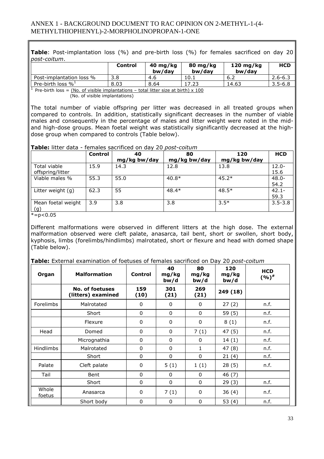**Table**: Post-implantation loss (%) and pre-birth loss (%) for females sacrificed on day 20 *post-coitum*.

|                                  | Control | 40 mg/kg<br>bw/dav | 80 mg/kg<br>bw/dav | $120 \text{ mg/kg}$<br>bw/dav | <b>HCD</b>  |
|----------------------------------|---------|--------------------|--------------------|-------------------------------|-------------|
| Post-implantation loss %         | 3.8     | -4.6               | 10.1               | -6.∠                          | $2.6 - 6.3$ |
| Pre-birth loss $\%$ <sup>1</sup> | 8.03    | 8.64               | 17.23              | 14.63                         | $3.5 - 6.8$ |
|                                  |         |                    |                    |                               |             |

<sup>1</sup> Pre-birth loss =  $(No. of visible implications - total litter size at birth) \times 100$ (No. of visible implantations)

The total number of viable offspring per litter was decreased in all treated groups when compared to controls. In addition, statistically significant decreases in the number of viable males and consequently in the percentage of males and litter weight were noted in the midand high-dose groups. Mean foetal weight was statistically significantly decreased at the highdose group when compared to controls (Table below).

**Table:** litter data - females sacrificed on day 20 *post-coitum*

|                    | <b>Control</b> | 40           | 80           | 120          | <b>HCD</b>  |
|--------------------|----------------|--------------|--------------|--------------|-------------|
|                    |                | mg/kg bw/day | mg/kg bw/day | mg/kg bw/day |             |
| Total viable       | 15.9           | 14.3         | 12.8         | 13.8         | $12.0 -$    |
| offspring/litter   |                |              |              |              | 15.6        |
| Viable males %     | 55.3           | 55.0         | $40.8*$      | $45.2*$      | $48.0 -$    |
|                    |                |              |              |              | 54.2        |
| Litter weight (g)  | 62.3           | 55           | $48.4*$      | $48.5*$      | $42.1 -$    |
|                    |                |              |              |              | 59.3        |
| Mean foetal weight | 3.9            | 3.8          | 3.8          | $3.5*$       | $3.5 - 3.8$ |
| (g)                |                |              |              |              |             |

 $\overline{e}$  = p < 0.05

Different malformations were observed in different litters at the high dose. The external malformation observed were cleft palate, anasarca, tail bent, short or swollen, short body, kyphosis, limbs (forelimbs/hindlimbs) malrotated, short or flexure and head with domed shape (Table below).

**Table:** External examination of foetuses of females sacrificed on Day 20 *post-coitum*

| Organ            | <b>Malformation</b>                          | <b>Control</b> | 40<br>mg/kg<br>bw/d | 80<br>mg/kg<br>bw/d | 120<br>mg/kg<br>bw/d | <b>HCD</b><br>$(9/6)$ <sup>#</sup> |
|------------------|----------------------------------------------|----------------|---------------------|---------------------|----------------------|------------------------------------|
|                  | <b>No. of foetuses</b><br>(litters) examined | 159<br>(10)    | 301<br>(21)         | 269<br>(21)         | 249 (18)             |                                    |
| <b>Forelimbs</b> | Malrotated                                   | $\mathbf{0}$   | 0                   | 0                   | 27(2)                | n.f.                               |
|                  | Short                                        | $\mathbf{0}$   | 0                   | $\mathbf{0}$        | 59(5)                | n.f.                               |
|                  | Flexure                                      | $\mathbf{0}$   | $\Omega$            | $\mathbf{0}$        | 8(1)                 | n.f.                               |
| Head             | Domed                                        | $\mathbf{0}$   | $\mathbf{0}$        | 7(1)                | 47(5)                | n.f.                               |
|                  | Micrognathia                                 | $\Omega$       | $\Omega$            | 0                   | 14(1)                | n.f.                               |
| <b>Hindlimbs</b> | Malrotated                                   | $\mathbf{0}$   | $\Omega$            | $\mathbf{1}$        | 47(8)                | n.f.                               |
|                  | Short                                        | $\Omega$       | $\Omega$            | $\mathbf{0}$        | 21(4)                | n.f.                               |
| Palate           | Cleft palate                                 | $\mathbf{0}$   | 5(1)                | 1(1)                | 28(5)                | n.f.                               |
| Tail             | Bent                                         | $\mathbf{0}$   | $\mathbf{0}$        | $\mathbf{0}$        | 46(7)                |                                    |
|                  | Short                                        | $\mathbf{0}$   | $\mathbf{0}$        | $\mathbf{0}$        | 29(3)                | n.f.                               |
| Whole<br>foetus  | Anasarca                                     | 0              | 7(1)                | 0                   | 36 (4)               | n.f.                               |
|                  | Short body                                   | $\mathbf{0}$   | 0                   | 0                   | 53 $(4)$             | n.f.                               |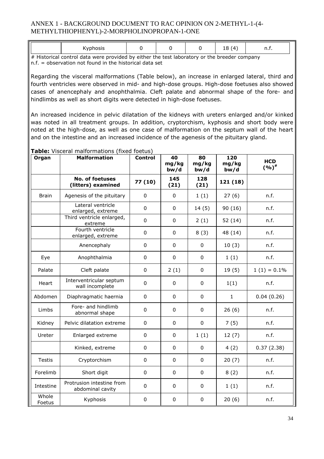|   | vnhocic<br>טוטטו |                 |  | $\cdots$<br>$\Omega$<br>$\sqrt{ }$<br>ᅩ | ,,,,, |
|---|------------------|-----------------|--|-----------------------------------------|-------|
| . |                  | $\cdots$<br>. . |  |                                         |       |

# Historical control data were provided by either the test laboratory or the breeder company n.f. = observation not found in the historical data set

Regarding the visceral malformations (Table below), an increase in enlarged lateral, third and fourth ventricles were observed in mid- and high-dose groups. High-dose foetuses also showed cases of anencephaly and anophthalmia. Cleft palate and abnormal shape of the fore- and hindlimbs as well as short digits were detected in high-dose foetuses.

An increased incidence in pelvic dilatation of the kidneys with ureters enlarged and/or kinked was noted in all treatment groups. In addition, cryptorchism, kyphosis and short body were noted at the high-dose, as well as one case of malformation on the septum wall of the heart and on the intestine and an increased incidence of the agenesis of the pituitary gland.

| Organ           | <b>Malformation</b>                           | <b>Control</b> | 40<br>mg/kg<br>bw/d | 80<br>mg/kg<br>bw/d | 120<br>mg/kg<br>bw/d | <b>HCD</b><br>$(9/6)^*$ |
|-----------------|-----------------------------------------------|----------------|---------------------|---------------------|----------------------|-------------------------|
|                 | <b>No. of foetuses</b><br>(litters) examined  | 77 (10)        | 145<br>(21)         | 128<br>(21)         | 121 (18)             |                         |
| <b>Brain</b>    | Agenesis of the pituitary                     | $\mathbf 0$    | $\mathbf 0$         | 1(1)                | 27(6)                | n.f.                    |
|                 | Lateral ventricle<br>enlarged, extreme        | $\pmb{0}$      | $\mathbf{0}$        | 14(5)               | 90 (16)              | n.f.                    |
|                 | Third ventricle enlarged,<br>extreme          | $\mathbf 0$    | $\mathbf 0$         | 2(1)                | 52 (14)              | n.f.                    |
|                 | Fourth ventricle<br>enlarged, extreme         | 0              | $\mathbf{0}$        | 8(3)                | 48 (14)              | n.f.                    |
|                 | Anencephaly                                   | $\mathbf 0$    | 0                   | $\mathbf 0$         | 10(3)                | n.f.                    |
| Eye             | Anophthalmia                                  | $\mathbf 0$    | $\mathbf 0$         | $\mathbf 0$         | 1(1)                 | n.f.                    |
| Palate          | Cleft palate                                  | $\pmb{0}$      | 2(1)                | $\mathbf 0$         | 19(5)                | $1(1) = 0.1\%$          |
| Heart           | Interventricular septum<br>wall incomplete    | $\mathbf 0$    | $\mathbf{0}$        | 0                   | 1(1)                 | n.f.                    |
| Abdomen         | Diaphragmatic haernia                         | 0              | 0                   | $\mathbf 0$         | $\mathbf{1}$         | 0.04(0.26)              |
| Limbs           | Fore- and hindlimb<br>abnormal shape          | $\mathbf{0}$   | $\mathbf{0}$        | $\Omega$            | 26(6)                | n.f.                    |
| Kidney          | Pelvic dilatation extreme                     | $\pmb{0}$      | $\mathbf 0$         | $\mathbf 0$         | 7(5)                 | n.f.                    |
| Ureter          | Enlarged extreme                              | 0              | $\mathbf 0$         | 1(1)                | 12(7)                | n.f.                    |
|                 | Kinked, extreme                               | $\mathbf 0$    | 0                   | $\mathbf 0$         | 4(2)                 | 0.37(2.38)              |
| <b>Testis</b>   | Cryptorchism                                  | 0              | $\mathbf{0}$        | $\mathbf 0$         | 20(7)                | n.f.                    |
| Forelimb        | Short digit                                   | $\mathbf 0$    | 0                   | $\mathbf 0$         | 8(2)                 | n.f.                    |
| Intestine       | Protrusion intestine from<br>abdominal cavity | $\mathbf 0$    | 0                   | 0                   | 1(1)                 | n.f.                    |
| Whole<br>Foetus | Kyphosis                                      | $\pmb{0}$      | $\mathbf{0}$        | $\mathbf 0$         | 20(6)                | n.f.                    |

# **Table:** Visceral malformations (fixed foetus)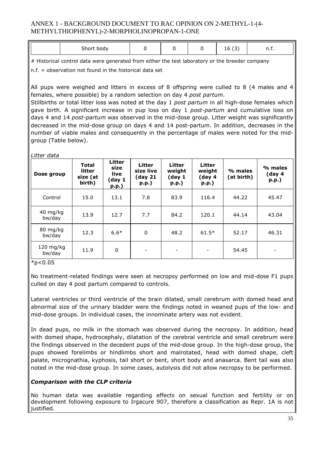| Short,<br><b>COLLECT DOCIVITY</b> |  | $\sim$<br>h<br>∸<br>۔ | . |
|-----------------------------------|--|-----------------------|---|

# Historical control data were generated from either the test laboratory or the breeder company

n.f. = observation not found in the historical data set

All pups were weighed and litters in excess of 8 offspring were culled to 8 (4 males and 4 females, where possible) by a random selection on day 4 *post partum*.

Stillbirths or total litter loss was noted at the day 1 *post partum* in all high-dose females which gave birth. A significant increase in pup loss on day 1 *post-partum* and cumulative loss on days 4 and 14 *post-partum* was observed in the mid-dose group. Litter weight was significantly decreased in the mid-dose group on days 4 and 14 post-partum. In addition, decreases in the number of viable males and consequently in the percentage of males were noted for the midgroup (Table below).

*Litter data* 

| Dose group               | <b>Total</b><br>litter<br>size (at<br>birth) | Litter<br>size<br>live<br>(day 1<br>p.p.) | Litter<br>size live<br>(day 21<br>$p.p.$ ) | Litter<br>weight<br>(day 1)<br>p.p.) | <b>Litter</b><br>weight<br>(day <sub>4</sub> )<br>p.p. | % males<br>(at birth) | % males<br>(day 4<br>p.p.) |
|--------------------------|----------------------------------------------|-------------------------------------------|--------------------------------------------|--------------------------------------|--------------------------------------------------------|-----------------------|----------------------------|
| Control                  | 15.0                                         | 13.1                                      | 7.8                                        | 83.9                                 | 116.4                                                  | 44.22                 | 45.47                      |
| $40$ mg/kg<br>bw/day     | 13.9                                         | 12.7                                      | 7.7                                        | 84.2                                 | 120.1                                                  | 44.14                 | 43.04                      |
| 80 mg/kg<br>bw/day       | 12.3                                         | $6.6*$                                    | 0                                          | 48.2                                 | $61.5*$                                                | 52.17                 | 46.31                      |
| $120 \; mg/kg$<br>bw/day | 11.9                                         | 0                                         | $\overline{\phantom{a}}$                   |                                      | $\overline{\phantom{a}}$                               | 54.45                 | $\overline{\phantom{a}}$   |

 $*p<0.05$ 

No treatment-related findings were seen at necropsy performed on low and mid-dose F1 pups culled on day 4 post partum compared to controls.

Lateral ventricles or third ventricle of the brain dilated, small cerebrum with domed head and abnormal size of the urinary bladder were the findings noted in weaned pups of the low- and mid-dose groups. In individual cases, the innominate artery was not evident.

In dead pups, no milk in the stomach was observed during the necropsy. In addition, head with domed shape, hydrocephaly, dilatation of the cerebral ventricle and small cerebrum were the findings observed in the decedent pups of the mid-dose group. In the high-dose group, the pups showed forelimbs or hindlimbs short and malrotated, head with domed shape, cleft palate, micrognathia, kyphosis, tail short or bent, short body and anasarca. Bent tail was also noted in the mid-dose group. In some cases, autolysis did not allow necropsy to be performed.

## *Comparison with the CLP criteria*

No human data was available regarding effects on sexual function and fertility or on development following exposure to Irgacure 907, therefore a classification as Repr. 1A is not justified.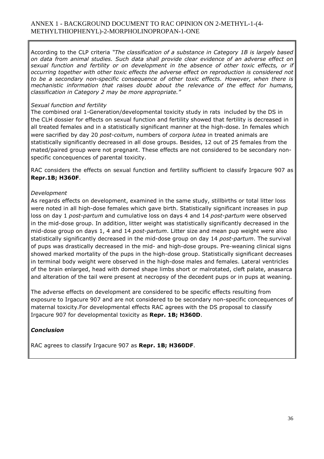According to the CLP criteria *"The classification of a substance in Category 1B is largely based on data from animal studies. Such data shall provide clear evidence of an adverse effect on sexual function and fertility or on development in the absence of other toxic effects, or if occurring together with other toxic effects the adverse effect on reproduction is considered not to be a secondary non-specific consequence of other toxic effects. However, when there is mechanistic information that raises doubt about the relevance of the effect for humans, classification in Category 2 may be more appropriate."*

#### *Sexual function and fertility*

The combined oral 1-Generation/developmental toxicity study in rats included by the DS in the CLH dossier for effects on sexual function and fertility showed that fertility is decreased in all treated females and in a statistically significant manner at the high-dose. In females which were sacrified by day 20 *post-coitum*, numbers of *corpora lutea* in treated animals are statistically significantly decreased in all dose groups. Besides, 12 out of 25 females from the mated/paired group were not pregnant. These effects are not considered to be secondary nonspecific concequences of parental toxicity.

RAC considers the effects on sexual function and fertility sufficient to classify Irgacure 907 as **Repr.1B; H360F**.

## *Development*

As regards effects on development, examined in the same study, stillbirths or total litter loss were noted in all high-dose females which gave birth. Statistically significant increases in pup loss on day 1 *post-partum* and cumulative loss on days 4 and 14 *post-partum* were observed in the mid-dose group. In addition, litter weight was statistically significantly decreased in the mid-dose group on days 1, 4 and 14 *post-partum*. Litter size and mean pup weight were also statistically significantly decreased in the mid-dose group on day 14 *post-partum*. The survival of pups was drastically decreased in the mid- and high-dose groups. Pre-weaning clinical signs showed marked mortality of the pups in the high-dose group. Statistically significant decreases in terminal body weight were observed in the high-dose males and females. Lateral ventricles of the brain enlarged, head with domed shape limbs short or malrotated, cleft palate, anasarca and alteration of the tail were present at necropsy of the decedent pups or in pups at weaning.

The adverse effects on development are considered to be specific effects resulting from exposure to Irgacure 907 and are not considered to be secondary non-specific concequences of maternal toxicity.For developmental effects RAC agrees with the DS proposal to classify Irgacure 907 for developmental toxicity as **Repr. 1B; H360D**.

## *Conclusion*

RAC agrees to classify Irgacure 907 as **Repr. 1B; H360DF**.